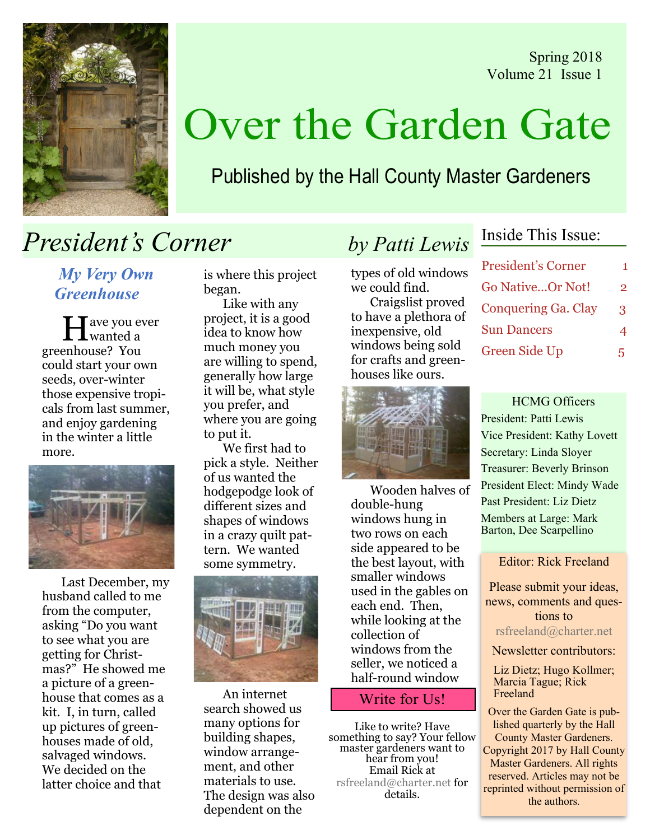Spring 2018 Volume 21 Issue 1



# Over the Garden Gate

### Published by the Hall County Master Gardeners

# **President's Corner** by Patti Lewis

My Very Own Greenhouse

 $\prod$  ave you ever wanted a greenhouse? You could start your own seeds, over-winter those expensive tropicals from last summer, and enjoy gardening in the winter a little more.



Last December, my husband called to me from the computer, asking "Do you want to see what you are getting for Christmas?" He showed me a picture of a greenhouse that comes as a kit. I, in turn, called up pictures of greenhouses made of old, salvaged windows. We decided on the latter choice and that

is where this project began.

Like with any project, it is a good idea to know how much money you are willing to spend, generally how large it will be, what style you prefer, and where you are going to put it.

We first had to pick a style. Neither of us wanted the hodgepodge look of different sizes and shapes of windows in a crazy quilt pattern. We wanted some symmetry.



An internet search showed us many options for building shapes, window arrangement, and other materials to use. The design was also dependent on the

types of old windows we could find. Craigslist proved to have a plethora of inexpensive, old windows being sold for crafts and greenhouses like ours.

### Inside This Issue:

| <b>President's Corner</b> | 1 |
|---------------------------|---|
| <b>Go NativeOr Not!</b>   | 2 |
| Conquering Ga. Clay       | 3 |
| <b>Sun Dancers</b>        | 4 |
| Green Side Up             | 5 |

HCMG Officers President: Patti Lewis Vice President: Kathy Lovett Secretary: Linda Sloyer Treasurer: Beverly Brinson President Elect: Mindy Wade Past President: Liz Dietz Members at Large: Mark Barton, Dee Scarpellino

Editor: Rick Freeland

Please submit your ideas, news, comments and questions to rsfreeland@charter.net

Newsletter contributors:

Liz Dietz; Hugo Kollmer; Marcia Tague; Rick Freeland

Over the Garden Gate is published quarterly by the Hall County Master Gardeners. Copyright 2017 by Hall County Master Gardeners. All rights reserved. Articles may not be reprinted without permission of the authors.



Wooden halves of double-hung windows hung in two rows on each side appeared to be the best layout, with smaller windows used in the gables on each end. Then, while looking at the collection of windows from the seller, we noticed a half-round window

### Write for Us!

Like to write? Have<br>something to say? Your fellow master gardeners want to<br>hear from you! Email Rick at rsfreeland@charter.net for details.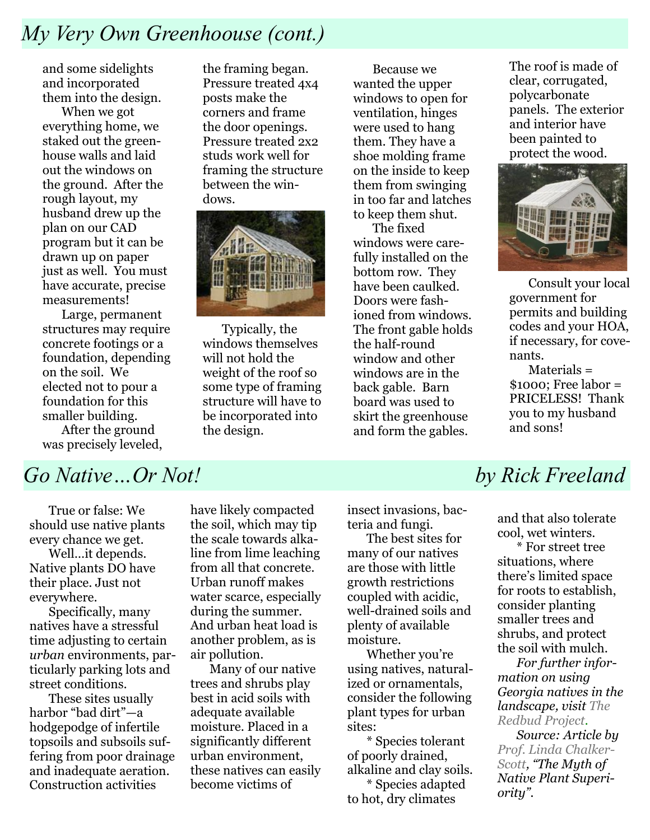## My Very Own Greenhoouse (cont.)

and some sidelights and incorporated them into the design.

When we got everything home, we staked out the greenhouse walls and laid out the windows on the ground. After the rough layout, my husband drew up the plan on our CAD program but it can be drawn up on paper just as well. You must have accurate, precise measurements!

Large, permanent structures may require concrete footings or a foundation, depending on the soil. We elected not to pour a foundation for this smaller building. After the ground was precisely leveled,

the framing began. Pressure treated 4x4 posts make the corners and frame the door openings. Pressure treated 2x2 studs work well for framing the structure between the windows.



Typically, the windows themselves will not hold the weight of the roof so some type of framing structure will have to be incorporated into the design.

Because we wanted the upper windows to open for ventilation, hinges were used to hang them. They have a shoe molding frame on the inside to keep them from swinging in too far and latches to keep them shut.

The fixed windows were carefully installed on the bottom row. They have been caulked. Doors were fashioned from windows. The front gable holds the half-round window and other windows are in the back gable. Barn board was used to skirt the greenhouse and form the gables.

The roof is made of clear, corrugated, polycarbonate panels. The exterior and interior have been painted to protect the wood.



Consult your local government for permits and building codes and your HOA, if necessary, for covenants.

Materials = \$1000; Free labor = PRICELESS! Thank you to my husband and sons!

### Go Native ... Or Not! by Rick Freeland

True or false: We should use native plants every chance we get.

Well…it depends. Native plants DO have their place. Just not everywhere.

Specifically, many natives have a stressful time adjusting to certain urban environments, particularly parking lots and street conditions.

These sites usually harbor "bad dirt"—a hodgepodge of infertile topsoils and subsoils suffering from poor drainage and inadequate aeration. Construction activities

have likely compacted the soil, which may tip the scale towards alkaline from lime leaching from all that concrete. Urban runoff makes water scarce, especially during the summer. And urban heat load is another problem, as is air pollution.

Many of our native trees and shrubs play best in acid soils with adequate available moisture. Placed in a significantly different urban environment, these natives can easily become victims of

insect invasions, bacteria and fungi.

The best sites for many of our natives are those with little growth restrictions coupled with acidic, well-drained soils and plenty of available moisture.

Whether you're using natives, naturalized or ornamentals, consider the following plant types for urban sites:

\* Species tolerant of poorly drained, alkaline and clay soils.

\* Species adapted to hot, dry climates

and that also tolerate cool, wet winters.

\* For street tree situations, where there's limited space for roots to establish, consider planting smaller trees and shrubs, and protect the soil with mulch.

For further information on using Georgia natives in the landscape, visit The Redbud Project.

Source: Article by Prof. Linda Chalker-Scott, "The Myth of Native Plant Superiority".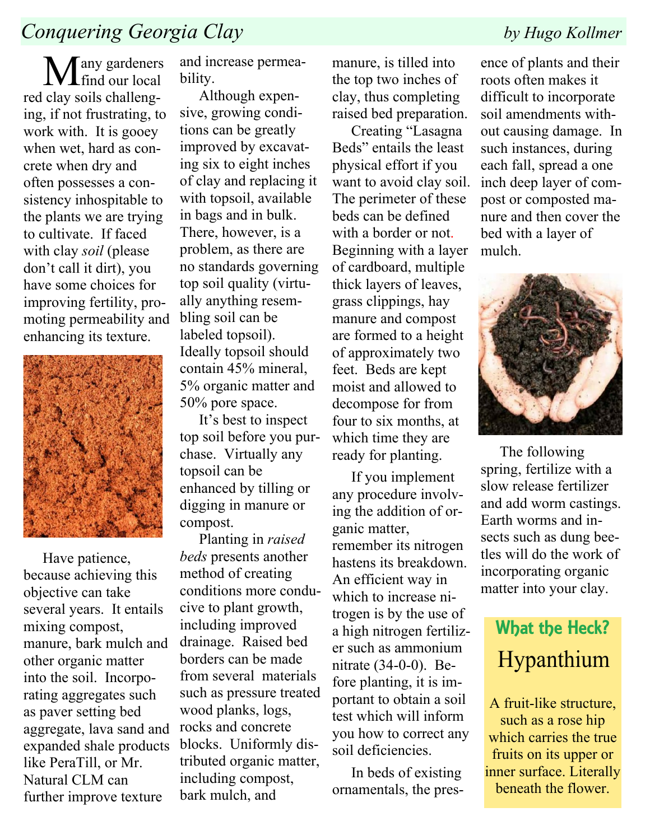### Conquering Georgia Clay by Hugo Kollmer

 $M$ find our local red clay soils challenging, if not frustrating, to work with. It is gooey when wet, hard as concrete when dry and often possesses a consistency inhospitable to the plants we are trying to cultivate. If faced with clay *soil* (please) don't call it dirt), you have some choices for improving fertility, promoting permeability and enhancing its texture.



Have patience, because achieving this objective can take several years. It entails mixing compost, manure, bark mulch and other organic matter into the soil. Incorporating aggregates such as paver setting bed aggregate, lava sand and expanded shale products like PeraTill, or Mr. Natural CLM can further improve texture

and increase permeability.

Although expensive, growing conditions can be greatly improved by excavating six to eight inches of clay and replacing it with topsoil, available in bags and in bulk. There, however, is a problem, as there are no standards governing top soil quality (virtually anything resembling soil can be labeled topsoil). Ideally topsoil should contain 45% mineral, 5% organic matter and 50% pore space.

It's best to inspect top soil before you purchase. Virtually any topsoil can be enhanced by tilling or digging in manure or compost.

Planting in raised beds presents another method of creating conditions more conducive to plant growth, including improved drainage. Raised bed borders can be made from several materials such as pressure treated wood planks, logs, rocks and concrete blocks. Uniformly distributed organic matter, including compost, bark mulch, and

manure, is tilled into the top two inches of clay, thus completing raised bed preparation.

Creating "Lasagna Beds" entails the least physical effort if you want to avoid clay soil. The perimeter of these beds can be defined with a border or not. Beginning with a layer of cardboard, multiple thick layers of leaves, grass clippings, hay manure and compost are formed to a height of approximately two feet. Beds are kept moist and allowed to decompose for from four to six months, at which time they are ready for planting.

If you implement any procedure involving the addition of organic matter, remember its nitrogen hastens its breakdown. An efficient way in which to increase nitrogen is by the use of a high nitrogen fertilizer such as ammonium nitrate (34-0-0). Before planting, it is important to obtain a soil test which will inform you how to correct any soil deficiencies.

In beds of existing ornamentals, the pres-

ence of plants and their roots often makes it difficult to incorporate soil amendments without causing damage. In such instances, during each fall, spread a one inch deep layer of compost or composted manure and then cover the bed with a layer of mulch.



The following spring, fertilize with a slow release fertilizer and add worm castings. Earth worms and insects such as dung beetles will do the work of incorporating organic matter into your clay.

# What the Heck? Hypanthium

A fruit-like structure, such as a rose hip which carries the true fruits on its upper or inner surface. Literally beneath the flower.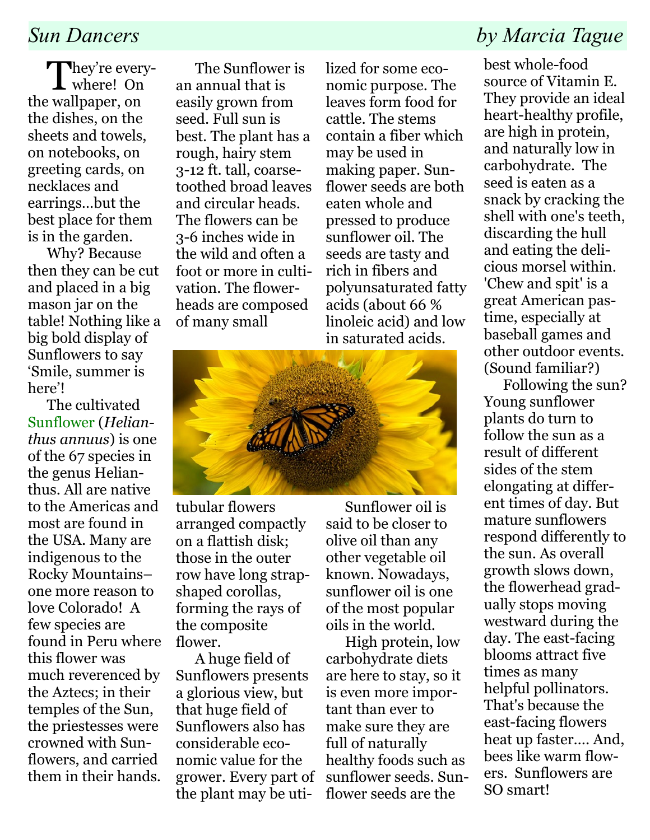They're every-<br>where! On the wallpaper, on the dishes, on the sheets and towels, on notebooks, on greeting cards, on necklaces and earrings…but the best place for them is in the garden.

Why? Because then they can be cut and placed in a big mason jar on the table! Nothing like a big bold display of Sunflowers to say 'Smile, summer is here'!

The cultivated Sunflower (Helianthus annuus) is one of the 67 species in the genus Helianthus. All are native to the Americas and most are found in the USA. Many are indigenous to the Rocky Mountains– one more reason to love Colorado! A few species are found in Peru where this flower was much reverenced by the Aztecs; in their temples of the Sun, the priestesses were crowned with Sunflowers, and carried them in their hands.

The Sunflower is an annual that is easily grown from seed. Full sun is best. The plant has a rough, hairy stem 3-12 ft. tall, coarsetoothed broad leaves and circular heads. The flowers can be 3-6 inches wide in the wild and often a foot or more in cultivation. The flowerheads are composed of many small

lized for some economic purpose. The leaves form food for cattle. The stems contain a fiber which may be used in making paper. Sunflower seeds are both eaten whole and pressed to produce sunflower oil. The seeds are tasty and rich in fibers and polyunsaturated fatty acids (about 66 % linoleic acid) and low in saturated acids.



tubular flowers arranged compactly on a flattish disk; those in the outer row have long strapshaped corollas, forming the rays of the composite flower.

A huge field of Sunflowers presents a glorious view, but that huge field of Sunflowers also has considerable economic value for the grower. Every part of the plant may be uti-

Sunflower oil is said to be closer to olive oil than any other vegetable oil known. Nowadays, sunflower oil is one of the most popular oils in the world.

High protein, low carbohydrate diets are here to stay, so it is even more important than ever to make sure they are full of naturally healthy foods such as sunflower seeds. Sunflower seeds are the

### Sun Dancers by Marcia Tague

best whole-food source of Vitamin E. They provide an ideal heart-healthy profile, are high in protein, and naturally low in carbohydrate. The seed is eaten as a snack by cracking the shell with one's teeth, discarding the hull and eating the delicious morsel within. 'Chew and spit' is a great American pastime, especially at baseball games and other outdoor events. (Sound familiar?)

Following the sun? Young sunflower plants do turn to follow the sun as a result of different sides of the stem elongating at different times of day. But mature sunflowers respond differently to the sun. As overall growth slows down, the flowerhead gradually stops moving westward during the day. The east-facing blooms attract five times as many helpful pollinators. That's because the east-facing flowers heat up faster…. And, bees like warm flowers. Sunflowers are SO smart!